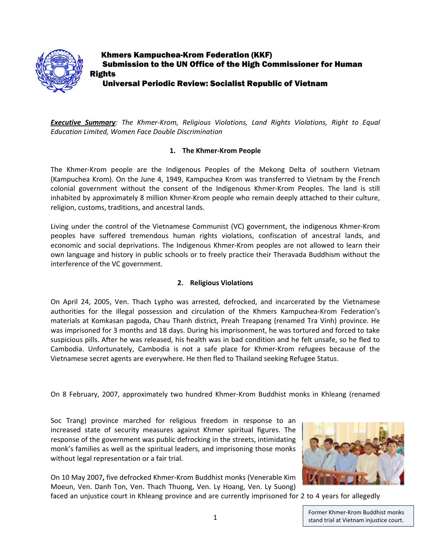

 Khmers Kampuchea-Krom Federation (KKF) Submission to the UN Office of the High Commissioner for Human Rights Universal Periodic Review: Socialist Republic of Vietnam

*Executive Summary: The Khmer‐Krom, Religious Violations, Land Rights Violations, Right to Equal Education Limited, Women Face Double Discrimination*

### **1. The Khmer‐Krom People**

The Khmer‐Krom people are the Indigenous Peoples of the Mekong Delta of southern Vietnam (Kampuchea Krom). On the June 4, 1949, Kampuchea Krom was transferred to Vietnam by the French colonial government without the consent of the Indigenous Khmer‐Krom Peoples. The land is still inhabited by approximately 8 million Khmer-Krom people who remain deeply attached to their culture, religion, customs, traditions, and ancestral lands.

Living under the control of the Vietnamese Communist (VC) government, the indigenous Khmer‐Krom peoples have suffered tremendous human rights violations, confiscation of ancestral lands, and economic and social deprivations. The Indigenous Khmer‐Krom peoples are not allowed to learn their own language and history in public schools or to freely practice their Theravada Buddhism without the interference of the VC government.

## **2. Religious Violations**

On April 24, 2005, Ven. Thach Lypho was arrested, defrocked, and incarcerated by the Vietnamese authorities for the illegal possession and circulation of the Khmers Kampuchea‐Krom Federation's materials at Komkasan pagoda, Chau Thanh district, Preah Treapang (renamed Tra Vinh) province. He was imprisoned for 3 months and 18 days. During his imprisonment, he was tortured and forced to take suspicious pills. After he was released, his health was in bad condition and he felt unsafe, so he fled to Cambodia. Unfortunately, Cambodia is not a safe place for Khmer‐Krom refugees because of the Vietnamese secret agents are everywhere. He then fled to Thailand seeking Refugee Status.

On 8 February, 2007, approximately two hundred Khmer‐Krom Buddhist monks in Khleang (renamed

Soc Trang) province marched for religious freedom in response to an increased state of security measures against Khmer spiritual figures. The response of the government was public defrocking in the streets, intimidating monk's families as well as the spiritual leaders, and imprisoning those monks without legal representation or a fair trial.

On 10 May 2007**,** five defrocked Khmer‐Krom Buddhist monks (Venerable Kim Moeun, Ven. Danh Ton, Ven. Thach Thuong, Ven. Ly Hoang, Ven. Ly Suong)



faced an unjustice court in Khleang province and are currently imprisoned for 2 to 4 years for allegedly

Former Khmer‐Krom Buddhist monks 1 **Stand trial at Vietnam injustice court.**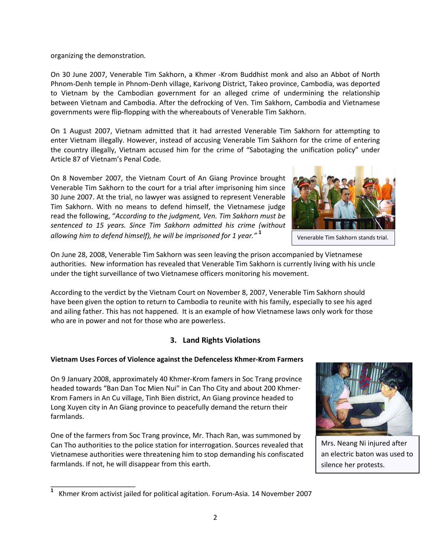organizing the demonstration.

On 30 June 2007, Venerable Tim Sakhorn, a Khmer ‐Krom Buddhist monk and also an Abbot of North Phnom‐Denh temple in Phnom‐Denh village, Karivong District, Takeo province, Cambodia, was deported to Vietnam by the Cambodian government for an alleged crime of undermining the relationship between Vietnam and Cambodia. After the defrocking of Ven. Tim Sakhorn, Cambodia and Vietnamese governments were flip‐flopping with the whereabouts of Venerable Tim Sakhorn.

On 1 August 2007, Vietnam admitted that it had arrested Venerable Tim Sakhorn for attempting to enter Vietnam illegally. However, instead of accusing Venerable Tim Sakhorn for the crime of entering the country illegally, Vietnam accused him for the crime of "Sabotaging the unification policy" under Article 87 of Vietnam's Penal Code.

On 8 November 2007, the Vietnam Court of An Giang Province brought Venerable Tim Sakhorn to the court for a trial after imprisoning him since 30 June 2007. At the trial, no lawyer was assigned to represent Venerable Tim Sakhorn. With no means to defend himself, the Vietnamese judge read the following, "*According to the judgment, Ven. Tim Sakhorn must be sentenced to 15 years. Since Tim Sakhorn admitted his crime (without allowing him to defend himself), he will be imprisoned for 1 year."* **<sup>1</sup>**



Venerable Tim Sakhorn stands trial.

On June 28, 2008, Venerable Tim Sakhorn was seen leaving the prison accompanied by Vietnamese authorities. New information has revealed that Venerable Tim Sakhorn is currently living with his uncle under the tight surveillance of two Vietnamese officers monitoring his movement.

According to the verdict by the Vietnam Court on November 8, 2007, Venerable Tim Sakhorn should have been given the option to return to Cambodia to reunite with his family, especially to see his aged and ailing father. This has not happened. It is an example of how Vietnamese laws only work for those who are in power and not for those who are powerless.

# **3. Land Rights Violations**

## **Vietnam Uses Forces of Violence against the Defenceless Khmer‐Krom Farmers**

On 9 January 2008, approximately 40 Khmer‐Krom famers in Soc Trang province headed towards "Ban Dan Toc Mien Nui" in Can Tho City and about 200 Khmer‐ Krom Famers in An Cu village, Tinh Bien district, An Giang province headed to Long Xuyen city in An Giang province to peacefully demand the return their farmlands.

One of the farmers from Soc Trang province, Mr. Thach Ran, was summoned by Can Tho authorities to the police station for interrogation. Sources revealed that Vietnamese authorities were threatening him to stop demanding his confiscated farmlands. If not, he will disappear from this earth.



Mrs. Neang Ni injured after an electric baton was used to silence her protests.

\_\_\_\_\_\_\_\_\_\_\_\_\_\_\_\_\_\_\_\_\_\_

**<sup>1</sup>** Khmer Krom activist jailed for political agitation. Forum‐Asia. 14 November 2007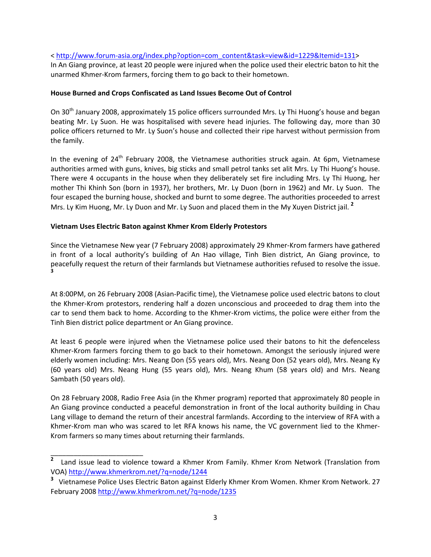< http://www.forum‐[asia.org/index.php?option=com\\_content&task=view&id=1229&Itemid=131](http://www.forum-asia.org/index.php?option=com_content&task=view&id=1229&Itemid=131)>

In An Giang province, at least 20 people were injured when the police used their electric baton to hit the unarmed Khmer‐Krom farmers, forcing them to go back to their hometown.

#### **House Burned and Crops Confiscated as Land Issues Become Out of Control**

On 30<sup>th</sup> January 2008, approximately 15 police officers surrounded Mrs. Ly Thi Huong's house and began beating Mr. Ly Suon. He was hospitalised with severe head injuries. The following day, more than 30 police officers returned to Mr. Ly Suon's house and collected their ripe harvest without permission from the family.

In the evening of 24<sup>th</sup> February 2008, the Vietnamese authorities struck again. At 6pm, Vietnamese authorities armed with guns, knives, big sticks and small petrol tanks set alit Mrs. Ly Thi Huong's house. There were 4 occupants in the house when they deliberately set fire including Mrs. Ly Thi Huong, her mother Thi Khinh Son (born in 1937), her brothers, Mr. Ly Duon (born in 1962) and Mr. Ly Suon. The four escaped the burning house, shocked and burnt to some degree. The authorities proceeded to arrest Mrs. Ly Kim Huong, Mr. Ly Duon and Mr. Ly Suon and placed them in the My Xuyen District jail. **<sup>2</sup>**

#### **Vietnam Uses Electric Baton against Khmer Krom Elderly Protestors**

\_\_\_\_\_\_\_\_\_\_\_\_\_\_\_\_\_\_\_\_\_\_\_\_

Since the Vietnamese New year (7 February 2008) approximately 29 Khmer‐Krom farmers have gathered in front of a local authority's building of An Hao village, Tinh Bien district, An Giang province, to peacefully request the return of their farmlands but Vietnamese authorities refused to resolve the issue. **3**

At 8:00PM, on 26 February 2008 (Asian‐Pacific time), the Vietnamese police used electric batons to clout the Khmer‐Krom protestors, rendering half a dozen unconscious and proceeded to drag them into the car to send them back to home. According to the Khmer‐Krom victims, the police were either from the Tinh Bien district police department or An Giang province.

At least 6 people were injured when the Vietnamese police used their batons to hit the defenceless Khmer-Krom farmers forcing them to go back to their hometown. Amongst the seriously injured were elderly women including: Mrs. Neang Don (55 years old), Mrs. Neang Don (52 years old), Mrs. Neang Ky (60 years old) Mrs. Neang Hung (55 years old), Mrs. Neang Khum (58 years old) and Mrs. Neang Sambath (50 years old).

On 28 February 2008, Radio Free Asia (in the Khmer program) reported that approximately 80 people in An Giang province conducted a peaceful demonstration in front of the local authority building in Chau Lang village to demand the return of their ancestral farmlands. According to the interview of RFA with a Khmer-Krom man who was scared to let RFA knows his name, the VC government lied to the Khmer-Krom farmers so many times about returning their farmlands.

**<sup>2</sup>** Land issue lead to violence toward a Khmer Krom Family. Khmer Krom Network (Translation from VOA) <http://www.khmerkrom.net/?q=node/1244>

<sup>&</sup>lt;sup>3</sup> Vietnamese Police Uses Electric Baton against Elderly Khmer Krom Women. Khmer Krom Network. 27 February 2008 <http://www.khmerkrom.net/?q=node/1235>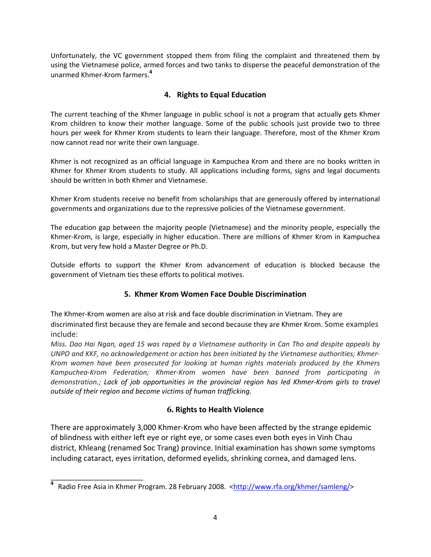Unfortunately, the VC government stopped them from filing the complaint and threatened them by using the Vietnamese police, armed forces and two tanks to disperse the peaceful demonstration of the unarmed Khmer‐Krom farmers.**<sup>4</sup>**

## **4. Rights to Equal Education**

The current teaching of the Khmer language in public school is not a program that actually gets Khmer Krom children to know their mother language. Some of the public schools just provide two to three hours per week for Khmer Krom students to learn their language. Therefore, most of the Khmer Krom now cannot read nor write their own language.

Khmer is not recognized as an official language in Kampuchea Krom and there are no books written in Khmer for Khmer Krom students to study. All applications including forms, signs and legal documents should be written in both Khmer and Vietnamese.

Khmer Krom students receive no benefit from scholarships that are generously offered by international governments and organizations due to the repressive policies of the Vietnamese government.

The education gap between the majority people (Vietnamese) and the minority people, especially the Khmer‐Krom, is large, especially in higher education. There are millions of Khmer Krom in Kampuchea Krom, but very few hold a Master Degree or Ph.D.

Outside efforts to support the Khmer Krom advancement of education is blocked because the government of Vietnam ties these efforts to political motives.

## **5. Khmer Krom Women Face Double Discrimination**

The Khmer‐Krom women are also at risk and face double discrimination in Vietnam. They are discriminated first because they are female and second because they are Khmer Krom. Some examples include:

Miss. Dao Hai Ngan, aged 15 was raped by a Vietnamese authority in Can Tho and despite appeals by *UNPO and KKF, no acknowledgement or action has been initiated by the Vietnamese authorities; Khmer‐ Krom women have been prosecuted for looking at human rights materials produced by the Khmers Kampuchea‐Krom Federation; Khmer‐Krom women have been banned from participating in demonstration.; Lack of job opportunities in the provincial region has led Khmer‐Krom girls to travel outside of their region and become victims of human trafficking.*

# **6. Rights to Health Violence**

There are approximately 3,000 Khmer‐Krom who have been affected by the strange epidemic of blindness with either left eye or right eye, or some cases even both eyes in Vinh Chau district, Khleang (renamed Soc Trang) province. Initial examination has shown some symptoms including cataract, eyes irritation, deformed eyelids, shrinking cornea, and damaged lens.

\_\_\_\_\_\_\_\_\_\_\_\_\_\_\_\_\_\_\_\_\_\_\_\_

<sup>&</sup>lt;sup>4</sup> Radio Free Asia in Khmer Program. 28 February 2008. <<http://www.rfa.org/khmer/samleng/>>